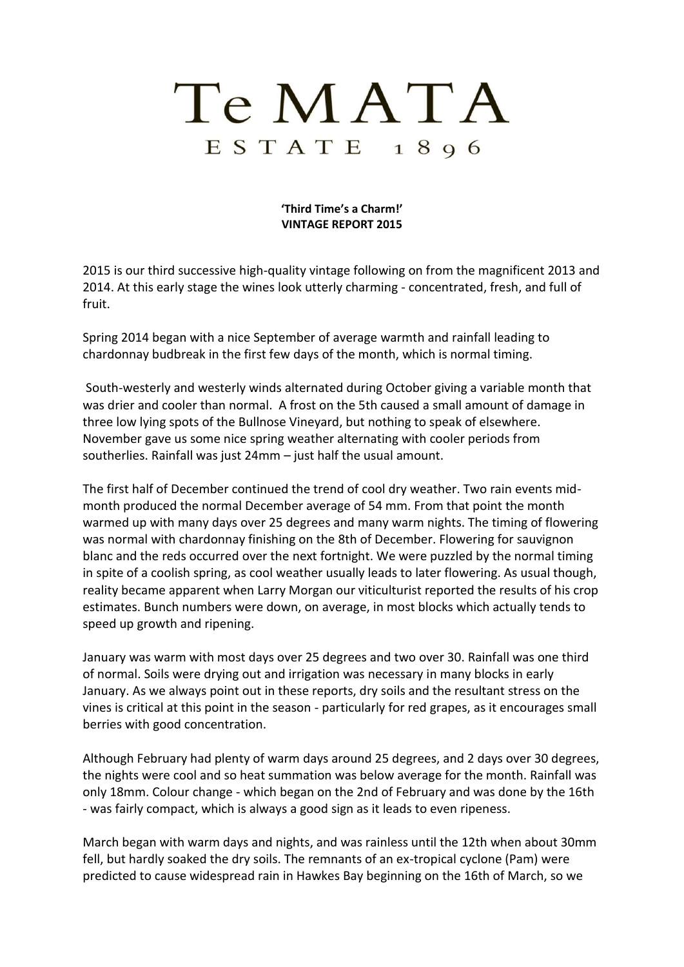## Te MATA  $E S T A T E$  1896

**'Third Time's a Charm!' VINTAGE REPORT 2015**

2015 is our third successive high-quality vintage following on from the magnificent 2013 and 2014. At this early stage the wines look utterly charming - concentrated, fresh, and full of fruit.

Spring 2014 began with a nice September of average warmth and rainfall leading to chardonnay budbreak in the first few days of the month, which is normal timing.

South-westerly and westerly winds alternated during October giving a variable month that was drier and cooler than normal. A frost on the 5th caused a small amount of damage in three low lying spots of the Bullnose Vineyard, but nothing to speak of elsewhere. November gave us some nice spring weather alternating with cooler periods from southerlies. Rainfall was just 24mm – just half the usual amount.

The first half of December continued the trend of cool dry weather. Two rain events midmonth produced the normal December average of 54 mm. From that point the month warmed up with many days over 25 degrees and many warm nights. The timing of flowering was normal with chardonnay finishing on the 8th of December. Flowering for sauvignon blanc and the reds occurred over the next fortnight. We were puzzled by the normal timing in spite of a coolish spring, as cool weather usually leads to later flowering. As usual though, reality became apparent when Larry Morgan our viticulturist reported the results of his crop estimates. Bunch numbers were down, on average, in most blocks which actually tends to speed up growth and ripening.

January was warm with most days over 25 degrees and two over 30. Rainfall was one third of normal. Soils were drying out and irrigation was necessary in many blocks in early January. As we always point out in these reports, dry soils and the resultant stress on the vines is critical at this point in the season - particularly for red grapes, as it encourages small berries with good concentration.

Although February had plenty of warm days around 25 degrees, and 2 days over 30 degrees, the nights were cool and so heat summation was below average for the month. Rainfall was only 18mm. Colour change - which began on the 2nd of February and was done by the 16th - was fairly compact, which is always a good sign as it leads to even ripeness.

March began with warm days and nights, and was rainless until the 12th when about 30mm fell, but hardly soaked the dry soils. The remnants of an ex-tropical cyclone (Pam) were predicted to cause widespread rain in Hawkes Bay beginning on the 16th of March, so we